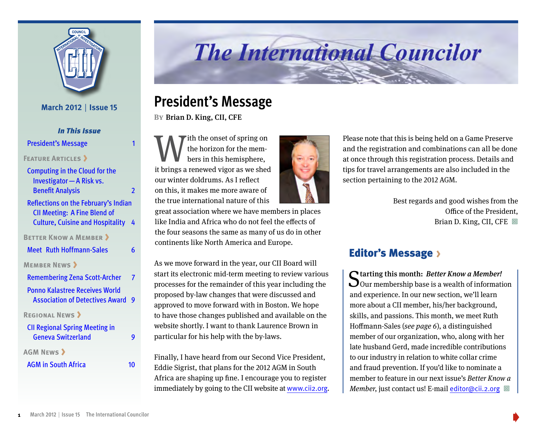

**March 2012** | **Issue 15**

*In This Issue* President's Message

### **FEATURE ARTICLES**

| <b>Computing in the Cloud for the</b><br>Investigator - A Risk vs.                                                     |                |
|------------------------------------------------------------------------------------------------------------------------|----------------|
| <b>Benefit Analysis</b>                                                                                                | $\overline{2}$ |
| Reflections on the February's Indian<br><b>CII Meeting: A Fine Blend of</b><br><b>Culture, Cuisine and Hospitality</b> | 4              |
| <b>BETTER KNOW A MEMBER &gt;</b>                                                                                       |                |
| <b>Meet</b> Ruth Hoffmann-Sales                                                                                        | 6              |
| <b>MEMBER NEWS &gt;</b>                                                                                                |                |
| <b>Remembering Zena Scott-Archer</b>                                                                                   | 7              |
| <b>Ponno Kalastree Receives World</b><br><b>Association of Detectives Award</b>                                        | 9              |
| <b>REGIONAL NEWS &gt;</b>                                                                                              |                |
| <b>CII Regional Spring Meeting in</b>                                                                                  |                |
| <b>Geneva Switzerland</b>                                                                                              | q              |
| <b>AGM NEWS &gt;</b>                                                                                                   |                |
| <b>AGM in South Africa</b>                                                                                             | 10             |

# **The International Councilor**

### **President's Message**

**By**Brian D. King, CII, CFE

With the onset of spring on<br>the horizon for the members in this hemisphere,<br>it brings a renewed vigor as we shed the horizon for the members in this hemisphere, our winter doldrums. As I reflect on this, it makes me more aware of the true international nature of this

great association where we have members in places like India and Africa who do not feel the effects of the four seasons the same as many of us do in other continents like North America and Europe.

As we move forward in the year, our CII Board will start its electronic mid-term meeting to review various processes for the remainder of this year including the proposed by-law changes that were discussed and approved to move forward with in Boston. We hope to have those changes published and available on the website shortly. I want to thank Laurence Brown in particular for his help with the by-laws.

Finally, I have heard from our Second Vice President, Eddie Sigrist, that plans for the 2012 AGM in South Africa are shaping up fine. I encourage you to register immediately by going to the CII website at www.cii2.org.



Please note that this is being held on a Game Preserve and the registration and combinations can all be done at once through this registration process. Details and tips for travel arrangements are also included in the section pertaining to the 2012 AGM.

> Best regards and good wishes from the Office of the President, Brian D. King, CII, CFE  $\Box$

### Editor's Message >

Starting this month: Better Know a Member!<br>Our membership base is a wealth of information and experience. In our new section, we'll learn more about a CII member, his/her background, skills, and passions. This month, we meet Ruth Hoffmann-Sales (see page 6), a distinguished member of our organization, who, along with her late husband Gerd, made incredible contributions to our industry in relation to white collar crime and fraud prevention. If you'd like to nominate a member to feature in our next issue's Better Know a *Member*, just contact us! E-mail editor@cii.2.org  $\Box$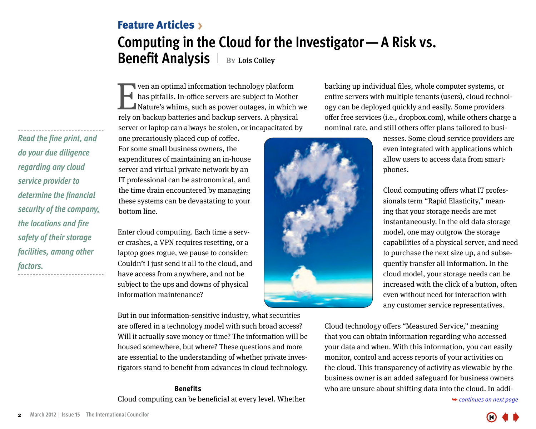### <span id="page-1-0"></span>**Computing in the Cloud for the Investigator—A Risk vs. Benefit Analysis**  $\vert$  BY Lois Colley Feature Articles

**Even an optimal information technology platform**<br>has pitfalls. In-office servers are subject to Mothe<br>Nature's whims, such as power outages, in which<br>rely on backup batteries and backup servers. A physica has pitfalls. In-office servers are subject to Mother Nature's whims, such as power outages, in which we rely on backup batteries and backup servers. A physical server or laptop can always be stolen, or incapacitated by

backing up individual files, whole computer systems, or entire servers with multiple tenants (users), cloud technology can be deployed quickly and easily. Some providers offer free services (i.e., dropbox.com), while others charge a nominal rate, and still others offer plans tailored to busi-

*Read the fine print, and do your due diligence regarding any cloud service provider to determine the financial security of the company, the locations and fire safety of their storage facilities, among other factors.*

one precariously placed cup of coffee. For some small business owners, the expenditures of maintaining an in-house server and virtual private network by an IT professional can be astronomical, and the time drain encountered by managing these systems can be devastating to your bottom line.

Enter cloud computing. Each time a server crashes, a VPN requires resetting, or a laptop goes rogue, we pause to consider: Couldn't I just send it all to the cloud, and have access from anywhere, and not be subject to the ups and downs of physical information maintenance?

But in our information-sensitive industry, what securities are offered in a technology model with such broad access? Will it actually save money or time? The information will be housed somewhere, but where? These questions and more are essential to the understanding of whether private investigators stand to benefit from advances in cloud technology.

#### **Benefits**

Cloud computing can be beneficial at every level. Whether



nesses. Some cloud service providers are even integrated with applications which allow users to access data from smartphones.

Cloud computing offers what IT professionals term "Rapid Elasticity," meaning that your storage needs are met instantaneously. In the old data storage model, one may outgrow the storage capabilities of a physical server, and need to purchase the next size up, and subsequently transfer all information. In the cloud model, your storage needs can be increased with the click of a button, often even without need for interaction with any customer service representatives.

Cloud technology offers "Measured Service," meaning that you can obtain information regarding who accessed your data and when. With this information, you can easily monitor, control and access reports of your activities on the cloud. This transparency of activity as viewable by the business owner is an added safeguard for business owners who [are unsure about shifting data into the cloud. In addi-](#page-2-0)

➥ *continues on next page* 

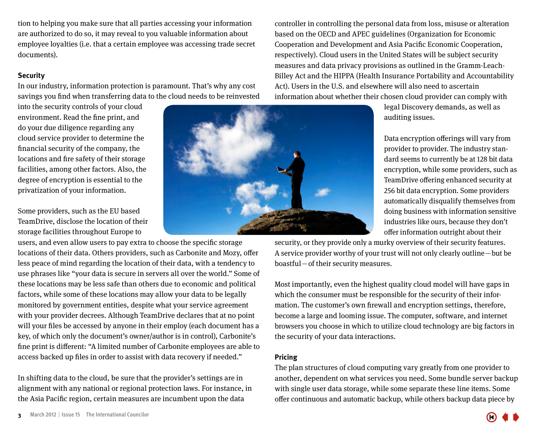<span id="page-2-0"></span>tion to helping you make sure that all parties accessing your information are authorized to do so, it may reveal to you valuable information about employee loyalties (i.e. that a certain employee was accessing trade secret documents).

#### **Security**

In our industry, information protection is paramount. That's why any cost savings you find when transferring data to the cloud needs to be reinvested

into the security controls of your cloud environment. Read the fine print, and do your due diligence regarding any cloud service provider to determine the financial security of the company, the locations and fire safety of their storage facilities, among other factors. Also, the degree of encryption is essential to the privatization of your information.

Some providers, such as the EU based TeamDrive, disclose the location of their storage facilities throughout Europe to

users, and even allow users to pay extra to choose the specific storage locations of their data. Others providers, such as Carbonite and Mozy, offer less peace of mind regarding the location of their data, with a tendency to use phrases like "your data is secure in servers all over the world." Some of these locations may be less safe than others due to economic and political factors, while some of these locations may allow your data to be legally monitored by government entities, despite what your service agreement with your provider decrees. Although TeamDrive declares that at no point will your files be accessed by anyone in their employ (each document has a key, of which only the document's owner/author is in control), Carbonite's fine print is different: "A limited number of Carbonite employees are able to access backed up files in order to assist with data recovery if needed."

In shifting data to the cloud, be sure that the provider's settings are in alignment with any national or regional protection laws. For instance, in the Asia Pacific region, certain measures are incumbent upon the data

controller in controlling the personal data from loss, misuse or alteration based on the OECD and APEC guidelines (Organization for Economic Cooperation and Development and Asia Pacific Economic Cooperation, respectively). Cloud users in the United States will be subject security measures and data privacy provisions as outlined in the Gramm-Leach-Billey Act and the HIPPA (Health Insurance Portability and Accountability Act). Users in the U.S. and elsewhere will also need to ascertain information about whether their chosen cloud provider can comply with

legal Discovery demands, as well as auditing issues.

Data encryption offerings will vary from provider to provider. The industry standard seems to currently be at 128 bit data encryption, while some providers, such as TeamDrive offering enhanced security at 256 bit data encryption. Some providers automatically disqualify themselves from doing business with information sensitive industries like ours, because they don't offer information outright about their

security, or they provide only a murky overview of their security features. A service provider worthy of your trust will not only clearly outline — but be boastful – of their security measures.

Most importantly, even the highest quality cloud model will have gaps in which the consumer must be responsible for the security of their information. The customer's own firewall and encryption settings, therefore, become a large and looming issue. The computer, software, and internet browsers you choose in which to utilize cloud technology are big factors in the security of your data interactions.

#### **Pricing**

The plan structures of cloud computing vary greatly from one provider to another, dependent on what services you need. Some bundle server backup with single user data storage, while some separate these line items. Some offer continuous and automatic backup, while others backup data piece by



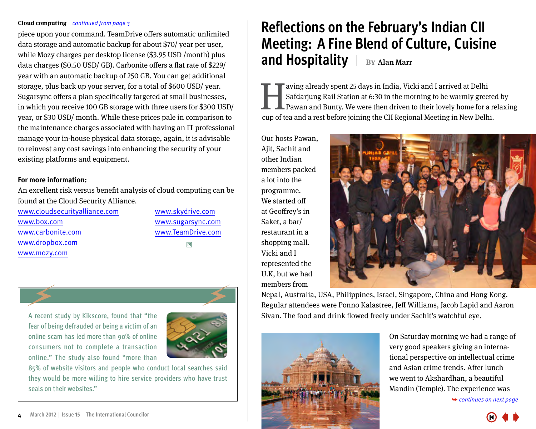#### <span id="page-3-0"></span>**Cloud computing** *continued from page 3*

piece upon your command. TeamDrive offers automatic unlimited data storage and automatic backup for about \$70/ year per user, while Mozy charges per desktop license (\$3.95 USD /month) plus data charges (\$0.50 USD/ GB). Carbonite offers a flat rate of \$229/ year with an automatic backup of 250 GB. You can get additional storage, plus back up your server, for a total of \$600 USD/ year. Sugarsync offers a plan specifically targeted at small businesses, in which you receive 100 GB storage with three users for \$300 USD/ year, or \$30 USD/ month. While these prices pale in comparison to the maintenance charges associated with having an IT professional manage your in-house physical data storage, again, it is advisable to reinvest any cost savings into enhancing the security of your existing platforms and equipment.

#### **For more information:**

An excellent risk versus benefit analysis of cloud computing can be found at the Cloud Security Alliance.

www.cloudsecurityalliance.com www.box.com www.carbonite.com www.dropbox.com www.mozy.com

www.skydrive.com www.sugarsync.com www.TeamDrive.com ª



A recent study by Kikscore, found that "the fear of being defrauded or being a victim of an online scam has led more than 90% of online consumers not to complete a transaction online." The study also found "more than



85% of website visitors and people who conduct local searches said they would be more willing to hire service providers who have trust seals on their websites."

# **Reflections on the February's Indian CII Meeting: A Fine Blend of Culture, Cuisine and Hospitality** | BY Alan Marr

Safdarjung Rail Station at 6:30 in the morning to be warmly gree<br>Pawan and Bunty. We were then driven to their lovely home for a<br>cup of tea and a rest before joining the CII Begional Meeting in New Delb Safdarjung Rail Station at 6:30 in the morning to be warmly greeted by Pawan and Bunty. We were then driven to their lovely home for a relaxing cup of tea and a rest before joining the CII Regional Meeting in New Delhi.

Our hosts Pawan, Ajit, Sachit and other Indian members packed a lot into the programme. We started off at Geoffrey's in Saket, a bar/ restaurant in a shopping mall. Vicki and I represented the U.K, but we had members from



Nepal, Australia, USA, Philippines, Israel, Singapore, China and Hong Kong. Regular attendees were Ponno Kalastree, Jeff Williams, Jacob Lapid and Aaron Sivan. The food and drink flowed freely under Sachit's watchful eye.



On Saturday morning we had a range of very good speakers giving an international perspective on intellectual crime and Asian crime trends. After lunch we went to Akshardhan, a beautiful [Mandin \(Temple\). The experience was](#page-4-0) 

➥ *continues on next page*

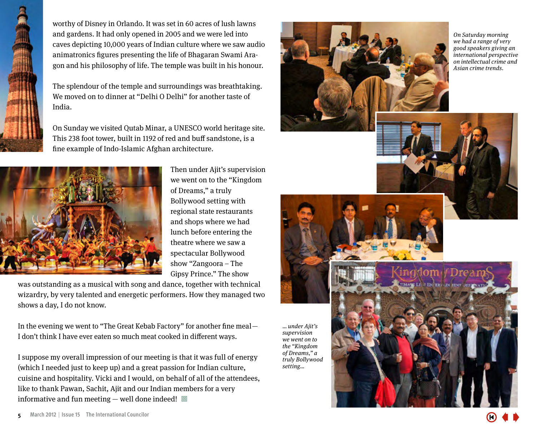<span id="page-4-0"></span>

worthy of Disney in Orlando. It was set in 60 acres of lush lawns and gardens. It had only opened in 2005 and we were led into caves depicting 10,000 years of Indian culture where we saw audio animatronics figures presenting the life of Bhagaran Swami Aragon and his philosophy of life. The temple was built in his honour.

The splendour of the temple and surroundings was breathtaking. We moved on to dinner at "Delhi O Delhi" for another taste of India.

On Sunday we visited Qutab Minar, a UNESCO world heritage site. This 238 foot tower, built in 1192 of red and buff sandstone, is a fine example of Indo-Islamic Afghan architecture.



Then under Ajit's supervision we went on to the "Kingdom of Dreams," a truly Bollywood setting with regional state restaurants and shops where we had lunch before entering the theatre where we saw a spectacular Bollywood show "Zangoora – The Gipsy Prince." The show

was outstanding as a musical with song and dance, together with technical wizardry, by very talented and energetic performers. How they managed two shows a day, I do not know.

In the evening we went to "The Great Kebab Factory" for another fine meal — I don't think I have ever eaten so much meat cooked in different ways.

I suppose my overall impression of our meeting is that it was full of energy (which I needed just to keep up) and a great passion for Indian culture, cuisine and hospitality. Vicki and I would, on behalf of all of the attendees, like to thank Pawan, Sachit, Ajit and our Indian members for a very informative and fun meeting  $-$  well done indeed!  $\Box$ 



On Saturday morning we had a range of very good speakers giving an international perspective on intellectual crime and Asian crime trends.



… under Ajit's supervision we went on to the "Kingdom of Dreams," a truly Bollywood setting…

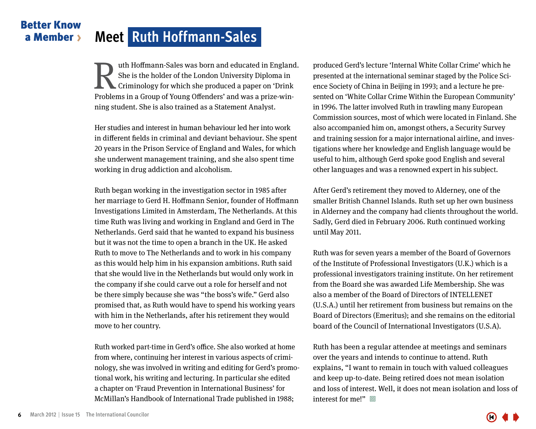### <span id="page-5-0"></span>Better Know a Member **Meet Ruth Hoffmann-Sales**

uth Hoffmann-Sales was born and educated in England. She is the holder of the London University Diploma in Criminology for which she produced a paper on 'Drink Problems in a Group of Young Offenders' and was a prize-winning student. She is also trained as a Statement Analyst. IM uth Hoffmann-Sales was born and educated in England. produced Gerd's lecture 'Internal White Collar Crime' which he<br>She is the holder of the London University Diploma in<br>Criminology for which she produced a paper on 'Dr

Her studies and interest in human behaviour led her into work in different fields in criminal and deviant behaviour. She spent 20 years in the Prison Service of England and Wales, for which she underwent management training, and she also spent time working in drug addiction and alcoholism.

Ruth began working in the investigation sector in 1985 after her marriage to Gerd H. Hoffmann Senior, founder of Hoffmann Investigations Limited in Amsterdam, The Netherlands. At this time Ruth was living and working in England and Gerd in The Netherlands. Gerd said that he wanted to expand his business but it was not the time to open a branch in the UK. He asked Ruth to move to The Netherlands and to work in his company as this would help him in his expansion ambitions. Ruth said that she would live in the Netherlands but would only work in the company if she could carve out a role for herself and not be there simply because she was "the boss's wife." Gerd also promised that, as Ruth would have to spend his working years with him in the Netherlands, after his retirement they would move to her country.

Ruth worked part-time in Gerd's office. She also worked at home from where, continuing her interest in various aspects of criminology, she was involved in writing and editing for Gerd's promotional work, his writing and lecturing. In particular she edited a chapter on 'Fraud Prevention in International Business' for McMillan's Handbook of International Trade published in 1988;

presented at the international seminar staged by the Police Science Society of China in Beijing in 1993; and a lecture he presented on 'White Collar Crime Within the European Community' in 1996. The latter involved Ruth in trawling many European Commission sources, most of which were located in Finland. She also accompanied him on, amongst others, a Security Survey and training session for a major international airline, and investigations where her knowledge and English language would be useful to him, although Gerd spoke good English and several other languages and was a renowned expert in his subject.

After Gerd's retirement they moved to Alderney, one of the smaller British Channel Islands. Ruth set up her own business in Alderney and the company had clients throughout the world. Sadly, Gerd died in February 2006. Ruth continued working until May 2011.

Ruth was for seven years a member of the Board of Governors of the Institute of Professional Investigators (U.K.) which is a professional investigators training institute. On her retirement from the Board she was awarded Life Membership. She was also a member of the Board of Directors of INTELLENET (U.S.A.) until her retirement from business but remains on the Board of Directors (Emeritus); and she remains on the editorial board of the Council of International Investigators (U.S.A).

Ruth has been a regular attendee at meetings and seminars over the years and intends to continue to attend. Ruth explains, "I want to remain in touch with valued colleagues and keep up-to-date. Being retired does not mean isolation and loss of interest. Well, it does not mean isolation and loss of interest for me!"  $\Box$ 

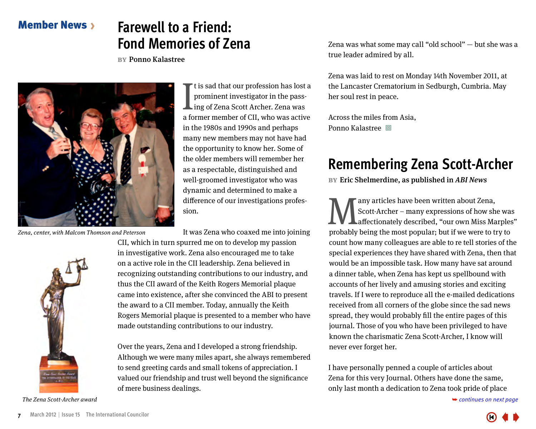### <span id="page-6-0"></span>Member News

### **Farewell to a Friend: Fond Memories of Zena**

**by**Ponno Kalastree



Zena, center, with Malcom Thomson and Peterson

It is sad that our profession has lost a<br>prominent investigator in the pass-<br>ing of Zena Scott Archer. Zena was<br>a former member of CII, who was active t is sad that our profession has lost a prominent investigator in the passing of Zena Scott Archer. Zena was in the 1980s and 1990s and perhaps many new members may not have had the opportunity to know her. Some of the older members will remember her as a respectable, distinguished and well-groomed investigator who was dynamic and determined to make a difference of our investigations profession.

It was Zena who coaxed me into joining



The Zena Scott-Archer award **←** continues on next page

CII, which in turn spurred me on to develop my passion in investigative work. Zena also encouraged me to take on a active role in the CII leadership. Zena believed in recognizing outstanding contributions to our industry, and thus the CII award of the Keith Rogers Memorial plaque came into existence, after she convinced the ABI to present the award to a CII member. Today, annually the Keith Rogers Memorial plaque is presented to a member who have made outstanding contributions to our industry.

Over the years, Zena and I developed a strong friendship. Although we were many miles apart, she always remembered to send greeting cards and small tokens of appreciation. I valued our friendship and trust well beyond the significance of mere business dealings.

Zena was what some may call "old school" — but she was a true leader admired by all.

Zena was laid to rest on Monday 14th November 2011, at the Lancaster Crematorium in Sedburgh, Cumbria. May her soul rest in peace.

Across the miles from Asia, Ponno Kalastree **I** 

# **Remembering Zena Scott-Archer**

**BY** Eric Shelmerdine, as published in ABI News

Many articles have been written about Zena,<br>Scott-Archer – many expressions of how share<br>probably being the most popular: but if we were to the<br>probably being the most popular: but if we were to the Scott-Archer – many expressions of how she was affectionately described, "our own Miss Marples" probably being the most popular; but if we were to try to count how many colleagues are able to re tell stories of the special experiences they have shared with Zena, then that would be an impossible task. How many have sat around a dinner table, when Zena has kept us spellbound with accounts of her lively and amusing stories and exciting travels. If I were to reproduce all the e-mailed dedications received from all corners of the globe since the sad news spread, they would probably fill the entire pages of this journal. Those of you who have been privileged to have known the charismatic Zena Scott-Archer, I know will never ever forget her.

I have personally penned a couple of articles about Zena for this very Journal. Others have done the same, only last month a [dedication to Zena took pride of place](#page-7-0) 

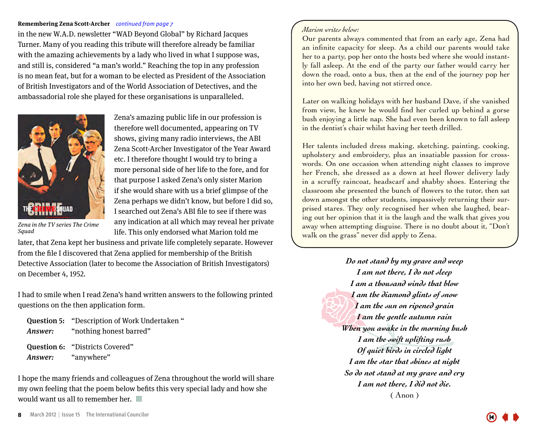#### <span id="page-7-0"></span>**Remembering Zena Scott-Archer** *continued from page 7*

in the new W.A.D. newsletter "WAD Beyond Global" by Richard Jacques Turner. Many of you reading this tribute will therefore already be familiar with the amazing achievements by a lady who lived in what I suppose was, and still is, considered "a man's world." Reaching the top in any profession is no mean feat, but for a woman to be elected as President of the Association of British Investigators and of the World Association of Detectives, and the ambassadorial role she played for these organisations is unparalleled.



Zena's amazing public life in our profession is therefore well documented, appearing on TV shows, giving many radio interviews, the ABI Zena Scott-Archer Investigator of the Year Award etc. I therefore thought I would try to bring a more personal side of her life to the fore, and for that purpose I asked Zena's only sister Marion if she would share with us a brief glimpse of the Zena perhaps we didn't know, but before I did so, I searched out Zena's ABI file to see if there was any indication at all which may reveal her private life. This only endorsed what Marion told me

Zena in the TV series The Crime **Sauad** 

later, that Zena kept her business and private life completely separate. However from the file I discovered that Zena applied for membership of the British Detective Association (later to become the Association of British Investigators) on December 4, 1952.

I had to smile when I read Zena's hand written answers to the following printed questions on the then application form.

|                    | <b>Question 5: "Description of Work Undertaken"</b> |
|--------------------|-----------------------------------------------------|
|                    | <i>Answer:</i> "nothing honest barred"              |
|                    | <b>Question 6: "Districts Covered"</b>              |
| Answer: "anywhere" |                                                     |

I hope the many friends and colleagues of Zena throughout the world will share my own feeling that the poem below befits this very special lady and how she would want us all to remember her.  $\Box$ 

Our parents always commented that from an early age, Zena had an infinite capacity for sleep. As a child our parents would take her to a party, pop her onto the hosts bed where she would instantly fall asleep. At the end of the party our father would carry her down the road, onto a bus, then at the end of the journey pop her into her own bed, having not stirred once.

Later on walking holidays with her husband Dave, if she vanished from view, he knew he would find her curled up behind a gorse bush enjoying a little nap. She had even been known to fall asleep in the dentist's chair whilst having her teeth drilled.

Her talents included dress making, sketching, painting, cooking, upholstery and embroidery, plus an insatiable passion for crosswords. On one occasion when attending night classes to improve her French, she dressed as a down at heel flower delivery lady in a scruffy raincoat, headscarf and shabby shoes. Entering the classroom she presented the bunch of flowers to the tutor, then sat down amongst the other students, impassively returning their surprised stares. They only recognised her when she laughed, bearing out her opinion that it is the laugh and the walk that gives you away when attempting disguise. There is no doubt about it, "Don't walk on the grass" never did apply to Zena.

> *Do not stand by my grave and weep I am not there, I do not sleep I am a thousand winds that blow I am the diamond glints of snow I am the sun on ripened grain I am the gentle autumn rain When you awake in the morning hush I am the swift uplifting rush Of quiet birds in circled light I am the star that shines at night So do not stand at my grave and cry I am not there, I did not die.* ( Anon )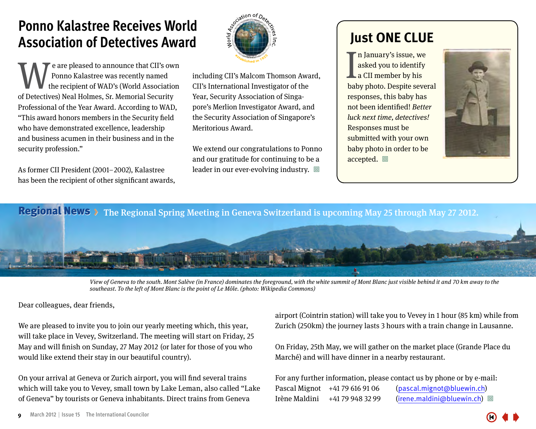## <span id="page-8-0"></span>**Ponno Kalastree Receives World Association of Detectives Award**

e are pleased to announce that CII's own Ponno Kalastree was recently named the recipient of WAD's (World Association **Example 2** e are pleased to announce that CII's ow<br>
the recipient of WAD's (World Associatio<br>
of Detectives) Neal Holmes, Sr. Memorial Security Professional of the Year Award. According to WAD, "This award honors members in the Security field who have demonstrated excellence, leadership and business acumen in their business and in the security profession."

As former CII President (2001– 2002), Kalastree has been the recipient of other significant awards,



including CII's Malcom Thomson Award, CII's International Investigator of the Year, Security Association of Singapore's Merlion Investigator Award, and the Security Association of Singapore's Meritorious Award.

We extend our congratulations to Ponno and our gratitude for continuing to be a leader in our ever-evolving industry.  $\Box$ 

### **Just ONE CLUE**

In January's issue, we<br>asked you to identify<br>a CII member by his<br>baby photo. Despite several n January's issue, we asked you to identify **La CII member by his** responses, this baby has not been identified! Better luck next time, detectives! Responses must be submitted with your own baby photo in order to be accepted.  $\Box$ 



Regional News > The Regional Spring Meeting in Geneva Switzerland is upcoming May 25 through May 27 2012.



View of Geneva to the south. Mont Salève (in France) dominates the foreground, with the white summit of Mont Blanc just visible behind it and 70 km away to the southeast. To the left of Mont Blanc is the point of Le Môle. (photo: Wikipedia Commons)

Dear colleagues, dear friends,

We are pleased to invite you to join our yearly meeting which, this year, will take place in Vevey, Switzerland. The meeting will start on Friday, 25 May and will finish on Sunday, 27 May 2012 (or later for those of you who would like extend their stay in our beautiful country).

On your arrival at Geneva or Zurich airport, you will find several trains which will take you to Vevey, small town by Lake Leman, also called "Lake of Geneva" by tourists or Geneva inhabitants. Direct trains from Geneva

airport (Cointrin station) will take you to Vevey in 1 hour (85 km) while from Zurich (250km) the journey lasts 3 hours with a train change in Lausanne.

On Friday, 25th May, we will gather on the market place (Grande Place du Marché) and will have dinner in a nearby restaurant.

For any further information, please contact us by phone or by e-mail: Pascal Mignot +41 79 616 91 06 (pascal.mignot@bluewin.ch) Irène Maldini +41 79 948 32 99 (irene.maldini@bluewin.ch) 回